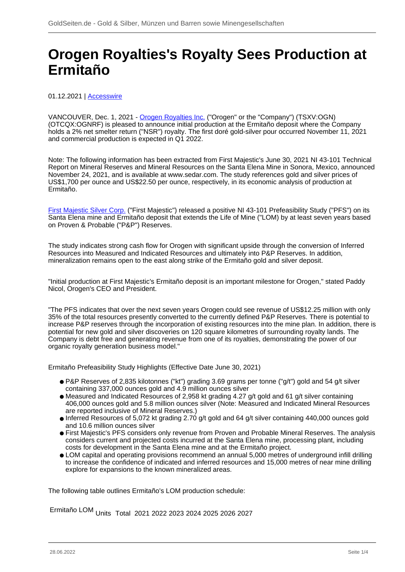## **Orogen Royalties's Royalty Sees Production at Ermitaño**

## 01.12.2021 | [Accesswire](/profil/272--Accesswire)

VANCOUVER, Dec. 1, 2021 - [Orogen Royalties Inc.](/minen/3918--Orogen-Royalties-Inc) ("Orogen" or the "Company") (TSXV:OGN) (OTCQX:OGNRF) is pleased to announce initial production at the Ermitaño deposit where the Company holds a 2% net smelter return ("NSR") royalty. The first doré gold-silver pour occurred November 11, 2021 and commercial production is expected in Q1 2022.

Note: The following information has been extracted from First Majestic's June 30, 2021 NI 43-101 Technical Report on Mineral Reserves and Mineral Resources on the Santa Elena Mine in Sonora, Mexico, announced November 24, 2021, and is available at www.sedar.com. The study references gold and silver prices of US\$1,700 per ounce and US\$22.50 per ounce, respectively, in its economic analysis of production at Ermitaño.

[First Majestic Silver Corp.](/minen/157--First-Majestic-Silver-Corp) ("First Majestic") released a positive NI 43-101 Prefeasibility Study ("PFS") on its Santa Elena mine and Ermitaño deposit that extends the Life of Mine ("LOM) by at least seven years based on Proven & Probable ("P&P") Reserves.

The study indicates strong cash flow for Orogen with significant upside through the conversion of Inferred Resources into Measured and Indicated Resources and ultimately into P&P Reserves. In addition, mineralization remains open to the east along strike of the Ermitaño gold and silver deposit.

"Initial production at First Majestic's Ermitaño deposit is an important milestone for Orogen," stated Paddy Nicol, Orogen's CEO and President.

"The PFS indicates that over the next seven years Orogen could see revenue of US\$12.25 million with only 35% of the total resources presently converted to the currently defined P&P Reserves. There is potential to increase P&P reserves through the incorporation of existing resources into the mine plan. In addition, there is potential for new gold and silver discoveries on 120 square kilometres of surrounding royalty lands. The Company is debt free and generating revenue from one of its royalties, demonstrating the power of our organic royalty generation business model."

Ermitaño Prefeasibility Study Highlights (Effective Date June 30, 2021)

- P&P Reserves of 2,835 kilotonnes ("kt") grading 3.69 grams per tonne ("g/t") gold and 54 g/t silver containing 337,000 ounces gold and 4.9 million ounces silver
- Measured and Indicated Resources of 2,958 kt grading 4.27 g/t gold and 61 g/t silver containing 406,000 ounces gold and 5.8 million ounces silver (Note: Measured and Indicated Mineral Resources are reported inclusive of Mineral Reserves.)
- Inferred Resources of 5,072 kt grading 2.70 g/t gold and 64 g/t silver containing 440,000 ounces gold and 10.6 million ounces silver
- First Majestic's PFS considers only revenue from Proven and Probable Mineral Reserves. The analysis considers current and projected costs incurred at the Santa Elena mine, processing plant, including costs for development in the Santa Elena mine and at the Ermitaño project.
- LOM capital and operating provisions recommend an annual 5,000 metres of underground infill drilling to increase the confidence of indicated and inferred resources and 15,000 metres of near mine drilling explore for expansions to the known mineralized areas.

The following table outlines Ermitaño's LOM production schedule:

Ermitaño LOM Units Total <sup>2021</sup> <sup>2022</sup> <sup>2023</sup> <sup>2024</sup> <sup>2025</sup> <sup>2026</sup> <sup>2027</sup>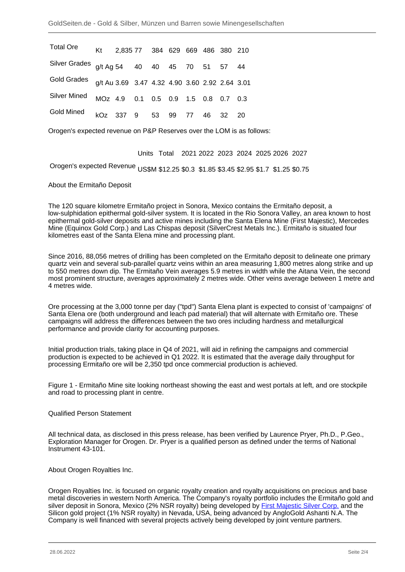| <b>Total Ore</b>                                           | Kt 2,835 77 384 629 669 486 380 210 |  |  |  |  |
|------------------------------------------------------------|-------------------------------------|--|--|--|--|
| Silver Grades g/t Ag 54 40 40 45 70 51 57 44               |                                     |  |  |  |  |
| Gold Grades q/t Au 3.69 3.47 4.32 4.90 3.60 2.92 2.64 3.01 |                                     |  |  |  |  |
| <b>Silver Mined</b>                                        | MOz 4.9 0.1 0.5 0.9 1.5 0.8 0.7 0.3 |  |  |  |  |
| Gold Mined                                                 | kOz 337 9 53 99 77 46 32 20         |  |  |  |  |

Orogen's expected revenue on P&P Reserves over the LOM is as follows:

Units Total 2021 2022 2023 2024 2025 2026 2027

Orogen's expected Revenue US\$M \$12.25 \$0.3 \$1.85 \$3.45 \$2.95 \$1.7 \$1.25 \$0.75

About the Ermitaño Deposit

The 120 square kilometre Ermitaño project in Sonora, Mexico contains the Ermitaño deposit, a low-sulphidation epithermal gold-silver system. It is located in the Rio Sonora Valley, an area known to host epithermal gold-silver deposits and active mines including the Santa Elena Mine (First Majestic), Mercedes Mine (Equinox Gold Corp.) and Las Chispas deposit (SilverCrest Metals Inc.). Ermitaño is situated four kilometres east of the Santa Elena mine and processing plant.

Since 2016, 88,056 metres of drilling has been completed on the Ermitaño deposit to delineate one primary quartz vein and several sub-parallel quartz veins within an area measuring 1,800 metres along strike and up to 550 metres down dip. The Ermitaño Vein averages 5.9 metres in width while the Aitana Vein, the second most prominent structure, averages approximately 2 metres wide. Other veins average between 1 metre and 4 metres wide.

Ore processing at the 3,000 tonne per day ("tpd") Santa Elena plant is expected to consist of 'campaigns' of Santa Elena ore (both underground and leach pad material) that will alternate with Ermitaño ore. These campaigns will address the differences between the two ores including hardness and metallurgical performance and provide clarity for accounting purposes.

Initial production trials, taking place in Q4 of 2021, will aid in refining the campaigns and commercial production is expected to be achieved in Q1 2022. It is estimated that the average daily throughput for processing Ermitaño ore will be 2,350 tpd once commercial production is achieved.

Figure 1 - Ermitaño Mine site looking northeast showing the east and west portals at left, and ore stockpile and road to processing plant in centre.

Qualified Person Statement

All technical data, as disclosed in this press release, has been verified by Laurence Pryer, Ph.D., P.Geo., Exploration Manager for Orogen. Dr. Pryer is a qualified person as defined under the terms of National Instrument 43-101.

About Orogen Royalties Inc.

Orogen Royalties Inc. is focused on organic royalty creation and royalty acquisitions on precious and base metal discoveries in western North America. The Company's royalty portfolio includes the Ermitaño gold and silver deposit in Sonora, Mexico (2% NSR royalty) being developed by [First Majestic Silver Corp.](/minen/157--First-Majestic-Silver-Corp) and the Silicon gold project (1% NSR royalty) in Nevada, USA, being advanced by AngloGold Ashanti N.A. The Company is well financed with several projects actively being developed by joint venture partners.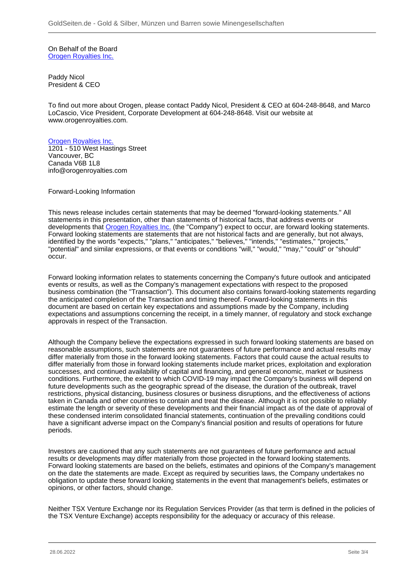On Behalf of the Board [Orogen Royalties Inc.](/minen/3918--Orogen-Royalties-Inc)

Paddy Nicol President & CEO

To find out more about Orogen, please contact Paddy Nicol, President & CEO at 604-248-8648, and Marco LoCascio, Vice President, Corporate Development at 604-248-8648. Visit our website at www.orogenroyalties.com.

## [Orogen Royalties Inc.](/minen/3918--Orogen-Royalties-Inc)

1201 - 510 West Hastings Street Vancouver, BC Canada V6B 1L8 info@orogenroyalties.com

Forward-Looking Information

This news release includes certain statements that may be deemed "forward-looking statements." All statements in this presentation, other than statements of historical facts, that address events or developments that [Orogen Royalties Inc.](/minen/3918--Orogen-Royalties-Inc) (the "Company") expect to occur, are forward looking statements. Forward looking statements are statements that are not historical facts and are generally, but not always, identified by the words "expects," "plans," "anticipates," "believes," "intends," "estimates," "projects," "potential" and similar expressions, or that events or conditions "will," "would," "may," "could" or "should" occur.

Forward looking information relates to statements concerning the Company's future outlook and anticipated events or results, as well as the Company's management expectations with respect to the proposed business combination (the "Transaction"). This document also contains forward-looking statements regarding the anticipated completion of the Transaction and timing thereof. Forward-looking statements in this document are based on certain key expectations and assumptions made by the Company, including expectations and assumptions concerning the receipt, in a timely manner, of regulatory and stock exchange approvals in respect of the Transaction.

Although the Company believe the expectations expressed in such forward looking statements are based on reasonable assumptions, such statements are not guarantees of future performance and actual results may differ materially from those in the forward looking statements. Factors that could cause the actual results to differ materially from those in forward looking statements include market prices, exploitation and exploration successes, and continued availability of capital and financing, and general economic, market or business conditions. Furthermore, the extent to which COVID-19 may impact the Company's business will depend on future developments such as the geographic spread of the disease, the duration of the outbreak, travel restrictions, physical distancing, business closures or business disruptions, and the effectiveness of actions taken in Canada and other countries to contain and treat the disease. Although it is not possible to reliably estimate the length or severity of these developments and their financial impact as of the date of approval of these condensed interim consolidated financial statements, continuation of the prevailing conditions could have a significant adverse impact on the Company's financial position and results of operations for future periods.

Investors are cautioned that any such statements are not guarantees of future performance and actual results or developments may differ materially from those projected in the forward looking statements. Forward looking statements are based on the beliefs, estimates and opinions of the Company's management on the date the statements are made. Except as required by securities laws, the Company undertakes no obligation to update these forward looking statements in the event that management's beliefs, estimates or opinions, or other factors, should change.

Neither TSX Venture Exchange nor its Regulation Services Provider (as that term is defined in the policies of the TSX Venture Exchange) accepts responsibility for the adequacy or accuracy of this release.